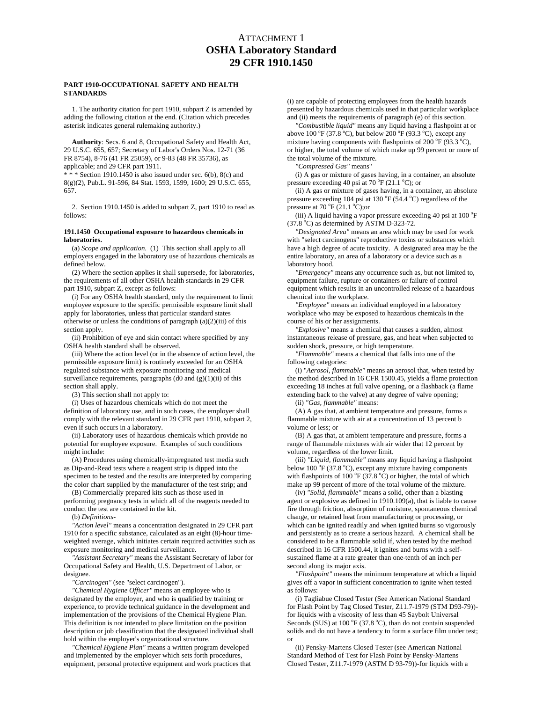# ATTACHMENT 1 **OSHA Laboratory Standard 29 CFR 1910.1450**

# **PART 1910-OCCUPATIONAL SAFETY AND HEALTH STANDARDS**

1. The authority citation for part 1910, subpart Z is amended by adding the following citation at the end. (Citation which precedes asterisk indicates general rulemaking authority.)

**Authority**: Secs. 6 and 8, Occupational Safety and Health Act, 29 U.S.C. 655, 657; Secretary of Labor's Orders Nos. 12-71 (36 FR 8754), 8-76 (41 FR 25059), or 9-83 (48 FR 35736), as applicable; and 29 CFR part 1911.

 $**$  \* Section 1910.1450 is also issued under sec. 6(b), 8(c) and 8(g)(2), Pub.L. 91-596, 84 Stat. 1593, 1599, 1600; 29 U.S.C. 655, 657.

2. Section 1910.1450 is added to subpart Z, part 1910 to read as follows:

## **191.1450 Occupational exposure to hazardous chemicals in laboratories.**

(a) *Scope and application.* (1) This section shall apply to all employers engaged in the laboratory use of hazardous chemicals as defined below.

(2) Where the section applies it shall supersede, for laboratories, the requirements of all other OSHA health standards in 29 CFR part 1910, subpart Z, except as follows:

(i) For any OSHA health standard, only the requirement to limit employee exposure to the specific permissible exposure limit shall apply for laboratories, unless that particular standard states otherwise or unless the conditions of paragraph (a)(2)(iii) of this section apply.

(ii) Prohibition of eye and skin contact where specified by any OSHA health standard shall be observed.

(iii) Where the action level (or in the absence of action level, the permissible exposure limit) is routinely exceeded for an OSHA regulated substance with exposure monitoring and medical surveillance requirements, paragraphs  $(d0 \text{ and } (g)(1)(ii)$  of this section shall apply.

(3) This section shall not apply to:

(i) Uses of hazardous chemicals which do not meet the definition of laboratory use, and in such cases, the employer shall comply with the relevant standard in 29 CFR part 1910, subpart 2, even if such occurs in a laboratory.

(ii) Laboratory uses of hazardous chemicals which provide no potential for employee exposure. Examples of such conditions might include:

(A) Procedures using chemically-impregnated test media such as Dip-and-Read tests where a reagent strip is dipped into the specimen to be tested and the results are interpreted by comparing the color chart supplied by the manufacturer of the test strip; and

(B) Commercially prepared kits such as those used in performing pregnancy tests in which all of the reagents needed to conduct the test are contained in the kit.

(b) *Definitions-*

*"Action level"* means a concentration designated in 29 CFR part 1910 for a specific substance, calculated as an eight (8)-hour timeweighted average, which initiates certain required activities such as exposure monitoring and medical surveillance.

*"Assistant Secretary"* means the Assistant Secretary of labor for Occupational Safety and Health, U.S. Department of Labor, or designee.

*"Carcinogen"* (see "select carcinogen").

*"Chemical Hygiene Officer"* means an employee who is designated by the employer, and who is qualified by training or experience, to provide technical guidance in the development and implementation of the provisions of the Chemical Hygiene Plan. This definition is not intended to place limitation on the position description or job classification that the designated individual shall hold within the employer's organizational structure.

*"Chemical Hygiene Plan"* means a written program developed and implemented by the employer which sets forth procedures, equipment, personal protective equipment and work practices that (i) are capable of protecting employees from the health hazards presented by hazardous chemicals used in that particular workplace and (ii) meets the requirements of paragraph (e) of this section.

*"Combustible liquid"* means any liquid having a flashpoint at or above 100 °F (37.8 °C), but below 200 °F (93.3 °C), except any mixture having components with flashpoints of 200  $\mathrm{^oF}$  (93.3  $\mathrm{^oC}$ ), or higher, the total volume of which make up 99 percent or more of the total volume of the mixture.

*"Compressed Gas"* means"

(i) A gas or mixture of gases having, in a container, an absolute pressure exceeding 40 psi at 70  $\mathrm{^oF}$  (21.1  $\mathrm{^oC}$ ); or

(ii) A gas or mixture of gases having, in a container, an absolute pressure exceeding 104 psi at 130  $\mathrm{^oF}$  (54.4  $\mathrm{^oC}$ ) regardless of the pressure at 70  $\mathrm{^oF}$  (21.1  $\mathrm{^oC}$ );or

(iii) A liquid having a vapor pressure exceeding 40 psi at 100  $\mathrm{^{0}F}$  $(37.8 °C)$  as determined by ASTM D-323-72.

*"Designated Area"* means an area which may be used for work with "select carcinogens" reproductive toxins or substances which have a high degree of acute toxicity. A designated area may be the entire laboratory, an area of a laboratory or a device such as a laboratory hood.

*"Emergency"* means any occurrence such as, but not limited to, equipment failure, rupture or containers or failure of control equipment which results in an uncontrolled release of a hazardous chemical into the workplace.

*"Employee"* means an individual employed in a laboratory workplace who may be exposed to hazardous chemicals in the course of his or her assignments.

*"Explosive"* means a chemical that causes a sudden, almost instantaneous release of pressure, gas, and heat when subjected to sudden shock, pressure, or high temperature.

*"Flammable"* means a chemical that falls into one of the following categories:

(i) "*Aerosol, flammable"* means an aerosol that, when tested by the method described in 16 CFR 1500.45, yields a flame protection exceeding 18 inches at full valve opening, or a flashback (a flame extending back to the valve) at any degree of valve opening;

(ii) *"Gas, flammable"* means:

(A) A gas that, at ambient temperature and pressure, forms a flammable mixture with air at a concentration of 13 percent b volume or less; or

(B) A gas that, at ambient temperature and pressure, forms a range of flammable mixtures with air wider that 12 percent by volume, regardless of the lower limit.

(iii) *"Liquid, flammable"* means any liquid having a flashpoint below 100<sup>°</sup>F (37.8<sup>°</sup>C), except any mixture having components with flashpoints of 100  $^{\circ}$ F (37.8  $^{\circ}$ C) or higher, the total of which make up 99 percent of more of the total volume of the mixture.

(iv) *"Solid, flammable"* means a solid, other than a blasting agent or explosive as defined in 1910.109(a), that is liable to cause fire through friction, absorption of moisture, spontaneous chemical change, or retained heat from manufacturing or processing, or which can be ignited readily and when ignited burns so vigorously and persistently as to create a serious hazard. A chemical shall be considered to be a flammable solid if, when tested by the method described in 16 CFR 1500.44, it ignites and burns with a selfsustained flame at a rate greater than one-tenth of an inch per second along its major axis.

*"Flashpoint"* means the minimum temperature at which a liquid gives off a vapor in sufficient concentration to ignite when tested as follows:

(i) Tagliabue Closed Tester (See American National Standard for Flash Point by Tag Closed Tester, Z11.7-1979 (STM D93-79)) for liquids with a viscosity of less than 45 Saybolt Universal Seconds (SUS) at 100  $\mathrm{^oF}$  (37.8  $\mathrm{^oC}$ ), than do not contain suspended solids and do not have a tendency to form a surface film under test; or

(ii) Pensky-Martens Closed Tester (see American National Standard Method of Test for Flash Point by Pensky-Martens Closed Tester, Z11.7-1979 (ASTM D 93-79))-for liquids with a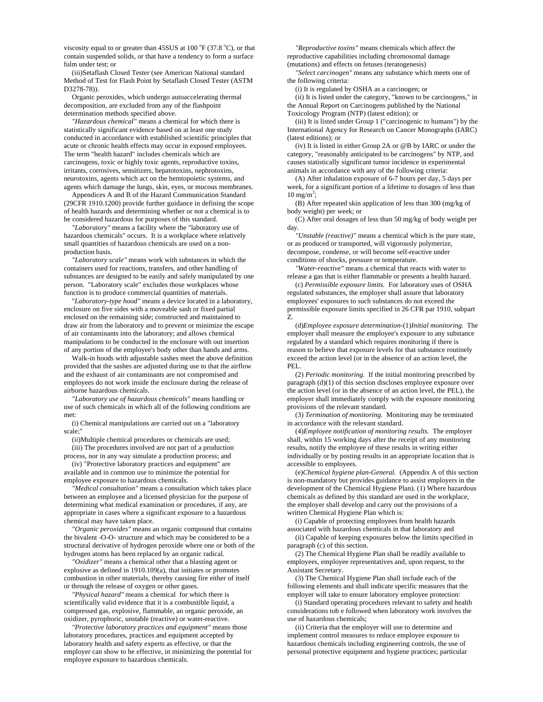viscosity equal to or greater than  $45SUS$  at  $100\text{ °F}$  (37.8 °C), or that contain suspended solids, or that have a tendency to form a surface fulm under test; or

(iii)Setaflash Closed Tester (see American National standard Method of Test for Flash Point by Setaflash Closed Tester (ASTM D3278-78)).

Organic peroxides, which undergo autoaccelerating thermal decomposition, are excluded from any of the flashpoint determination methods specified above.

*"Hazardous chemical"* means a chemical for which there is statistically significant evidence based on at least one study conducted in accordance with established scientific principles that acute or chronic health effects may occur in exposed employees. The term "health hazard" includes chemicals which are carcinogens, toxic or highly toxic agents, reproductive toxins, irritants, corrosives, sensitizers, hepatotoxins, nephrotoxins, neurotoxins, agents which act on the hemtopoietic systems, and agents which damage the lungs, skin, eyes, or mucous membranes.

Appendices A and B of the Hazard Communication Standard (29CFR 1910.1200) provide further guidance in defining the scope of health hazards and determining whether or not a chemical is to be considered hazardous for purposes of this standard.

*"Laboratory"* means a facility where the "laboratory use of hazardous chemicals" occurs. It is a workplace where relatively small quantities of hazardous chemicals are used on a nonproduction basis.

*"Laboratory scale"* means work with substances in which the containers used for reactions, transfers, and other handling of substances are designed to be easily and safely manipulated by one person. "Laboratory scale" excludes those workplaces whose function is to produce commercial quantities of materials.

"*Laboratory-type hood"* means a device located in a laboratory, enclosure on five sides with a moveable sash or fixed partial enclosed on the remaining side; constructed and maintained to draw air from the laboratory and to prevent or minimize the escape of air contaminants into the laboratory; and allows chemical manipulations to be conducted in the enclosure with out insertion of any portion of the employee's body other than hands and arms.

Walk-in hoods with adjustable sashes meet the above definition provided that the sashes are adjusted during use to that the airflow and the exhaust of air contaminants are not compromised and employees do not work inside the enclosure during the release of airborne hazardous chemicals.

*"Laboratory use of hazardous chemicals"* means handling or use of such chemicals in which all of the following conditions are met:

(i) Chemical manipulations are carried out on a "laboratory scale;"

(ii)Multiple chemical procedures or chemicals are used; (iii) The procedures involved are not part of a production

process, nor in any way simulate a production process; and (iv) "Protective laboratory practices and equipment" are available and in common use to minimize the potential for

employee exposure to hazardous chemicals. *"Medical consultation"* means a consultation which takes place between an employee and a licensed physician for the purpose of determining what medical examination or procedures, if any, are appropriate in cases where a significant exposure to a hazardous

chemical may have taken place. *"Organic peroxides"* means an organic compound that contains the bivalent -O-O- structure and which may be considered to be a structural derivative of hydrogen peroxide where one or both of the hydrogen atoms has been replaced by an organic radical.

*"Oxidizer"* means a chemical other that a blasting agent or explosive as defined in 1910.109(a), that initiates or promotes combustion in other materials, thereby causing fire either of itself or through the release of oxygen or other gases.

*"Physical hazard"* means a chemical for which there is scientifically valid evidence that it is a combustible liquid, a compressed gas, explosive, flammable, an organic peroxide, an oxidizer, pyrophoric, unstable (reactive) or water-reactive.

*"Protective laboratory practices and equipment"* means those laboratory procedures, practices and equipment accepted by laboratory health and safety experts as effective, or that the employer can show to be effective, in minimizing the potential for employee exposure to hazardous chemicals.

*"Reproductive toxins"* means chemicals which affect the reproductive capabilities including chromosomal damage (mutations) and effects on fetuses (teratogenesis)

*"Select carcinogen"* means any substance which meets one of the following criteria:

(i) It is regulated by OSHA as a carcinogen; or

(ii) It is listed under the category, "known to be carcinogens," in the Annual Report on Carcinogens published by the National Toxicology Program (NTP) (latest edition); or

(iii) It is listed under Group 1 ("carcinogenic to humans") by the International Agency for Research on Cancer Monographs (IARC) (latest editions); or

(iv) It is listed in either Group 2A or @B by IARC or under the category, "reasonably anticipated to be carcinogens" by NTP, and causes statistically significant tumor incidence in experimental animals in accordance with any of the following criteria:

(A) After inhalation exposure of 6-7 hours per day, 5 days per week, for a significant portion of a lifetime to dosages of less than  $10 \text{ mg/m}^3$ ;

(B) After repeated skin application of less than 300 (mg/kg of body weight) per week; or

(C) After oral dosages of less than 50 mg/kg of body weight per day.

*"Unstable (reactive)"* means a chemical which is the pure state, or as produced or transported, will vigorously polymerize, decompose, condense, or will become self-reactive under conditions of shocks, pressure or temperature.

*"Water-reactive"* means a chemical that reacts with water to release a gas that is either flammable or presents a health hazard.

(c) *Permissible exposure limits.* For laboratory uses of OSHA regulated substances, the employer shall assure that laboratory employees' exposures to such substances do not exceed the permissible exposure limits specified in 26 CFR par 1910, subpart Z.

(d)*Employee exposure determination-*(1)*Initial monitoring.* The employer shall measure the employee's exposure to any substance regulated by a standard which requires monitoring if there is reason to believe that exposure levels for that substance routinely exceed the action level (or in the absence of an action level, the PEL.

(2) *Periodic monitoring.* If the initial monitoring prescribed by paragraph (d)(1) of this section discloses employee exposure over the action level (or in the absence of an action level, the PEL), the employer shall immediately comply with the exposure monitoring provisions of the relevant standard.

(3) *Termination of monitoring.* Monitoring may be terminated in accordance with the relevant standard.

(4)*Employee notification of monitoring results.* The employer shall, within 15 working days after the receipt of any monitoring results, notify the employee of these results in writing either individually or by posting results in an appropriate location that is accessible to employees.

(e)*Chemical hygiene plan-General.* (Appendix A of this section is non-mandatory but provides guidance to assist employers in the development of the Chemical Hygiene Plan). (1) Where hazardous chemicals as defined by this standard are used in the workplace, the employer shall develop and carry out the provisions of a written Chemical Hygiene Plan which is:

(i) Capable of protecting employees from health hazards associated with hazardous chemicals in that laboratory and

(ii) Capable of keeping exposures below the limits specified in paragraph (c) of this section.

(2) The Chemical Hygiene Plan shall be readily available to employees, employee representatives and, upon request, to the Assistant Secretary.

(3) The Chemical Hygiene Plan shall include each of the following elements and shall indicate specific measures that the employer will take to ensure laboratory employee protection:

(i) Standard operating procedures relevant to safety and health considerations tob e followed when laboratory work involves the use of hazardous chemicals;

(ii) Criteria that the employer will use to determine and implement control measures to reduce employee exposure to hazardous chemicals including engineering controls, the use of personal protective equipment and hygiene practices; particular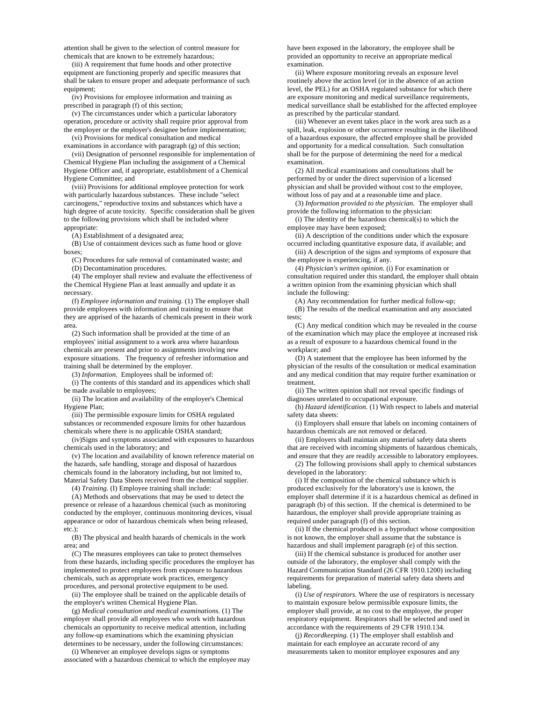attention shall be given to the selection of control measure for chemicals that are known to be extremely hazardous;

(iii) A requirement that fume hoods and other protective equipment are functioning properly and specific measures that shall be taken to ensure proper and adequate performance of such equipment;

(iv) Provisions for employee information and training as prescribed in paragraph (f) of this section;

(v) The circumstances under which a particular laboratory operation, procedure or activity shall require prior approval from the employer or the employer's designee before implementation; (vi) Provisions for medical consultation and medical

examinations in accordance with paragraph (g) of this section;

(vii) Designation of personnel responsible for implementation of Chemical Hygiene Plan including the assignment of a Chemical Hygiene Officer and, if appropriate, establishment of a Chemical Hygiene Committee; and

(viii) Provisions for additional employee protection for work with particularly hazardous substances. These include "select carcinogens," reproductive toxins and substances which have a high degree of acute toxicity. Specific consideration shall be given to the following provisions which shall be included where appropriate:

(A) Establishment of a designated area;

(B) Use of containment devices such as fume hood or glove boxes;

(C) Procedures for safe removal of contaminated waste; and (D) Decontamination procedures.

(4) The employer shall review and evaluate the effectiveness of the Chemical Hygiene Plan at least annually and update it as necessary.

(f) *Employee information and training.* (1) The employer shall provide employees with information and training to ensure that they are apprised of the hazards of chemicals present in their work area.

(2) Such information shall be provided at the time of an employees' initial assignment to a work area where hazardous chemicals are present and prior to assignments involving new exposure situations. The frequency of refresher information and training shall be determined by the employer.

(3) *Information.* Employees shall be informed of:

(i) The contents of this standard and its appendices which shall be made available to employees;

(ii) The location and availability of the employer's Chemical Hygiene Plan;

(iii) The permissible exposure limits for OSHA regulated substances or recommended exposure limits for other hazardous chemicals where there is no applicable OSHA standard;

(iv)Signs and symptoms associated with exposures to hazardous chemicals used in the laboratory; and

(v) The location and availability of known reference material on the hazards, safe handling, storage and disposal of hazardous chemicals found in the laboratory including, but not limited to, Material Safety Data Sheets received from the chemical supplier.

(4) *Training.* (I) Employee training shall include:

(A) Methods and observations that may be used to detect the presence or release of a hazardous chemical (such as monitoring conducted by the employer, continuous monitoring devices, visual appearance or odor of hazardous chemicals when being released, etc.);

(B) The physical and health hazards of chemicals in the work area; and

(C) The measures employees can take to protect themselves from these hazards, including specific procedures the employer has implemented to protect employees from exposure to hazardous chemicals, such as appropriate work practices, emergency procedures, and personal protective equipment to be used.

(ii) The employee shall be trained on the applicable details of the employer's written Chemical Hygiene Plan.

(g) *Medical consultation and medical examinations.* (1) The employer shall provide all employees who work with hazardous chemicals an opportunity to receive medical attention, including any follow-up examinations which the examining physician determines to be necessary, under the following circumstances:

(i) Whenever an employee develops signs or symptoms associated with a hazardous chemical to which the employee may have been exposed in the laboratory, the employee shall be provided an opportunity to receive an appropriate medical examination.

(ii) Where exposure monitoring reveals an exposure level routinely above the action level (or in the absence of an action level, the PEL) for an OSHA regulated substance for which there are exposure monitoring and medical surveillance requirements, medical surveillance shall be established for the affected employee as prescribed by the particular standard.

(iii) Whenever an event takes place in the work area such as a spill, leak, explosion or other occurrence resulting in the likelihood of a hazardous exposure, the affected employee shall be provided and opportunity for a medical consultation. Such consultation shall be for the purpose of determining the need for a medical examination.

(2) All medical examinations and consultations shall be performed by or under the direct supervision of a licensed physician and shall be provided without cost to the employee, without loss of pay and at a reasonable time and place.

(3) *Information provided to the physician.* The employer shall provide the following information to the physician:

(i) The identity of the hazardous chemical(s) to which the employee may have been exposed;

(ii) A description of the conditions under which the exposure occurred including quantitative exposure data, if available; and

(iii) A description of the signs and symptoms of exposure that the employee is experiencing, if any.

(4) *Physician's written opinion.* (i) For examination or consultation required under this standard, the employer shall obtain a written opinion from the examining physician which shall include the following:

(A) Any recommendation for further medical follow-up;

(B) The results of the medical examination and any associated tests;

(C) Any medical condition which may be revealed in the course of the examination which may place the employee at increased risk as a result of exposure to a hazardous chemical found in the workplace; and

(D) A statement that the employee has been informed by the physician of the results of the consultation or medical examination and any medical condition that may require further examination or treatment.

(ii) The written opinion shall not reveal specific findings of diagnoses unrelated to occupational exposure.

(h) *Hazard identification.* (1) With respect to labels and material safety data sheets:

(i) Employers shall ensure that labels on incoming containers of hazardous chemicals are not removed or defaced.

(ii) Employers shall maintain any material safety data sheets that are received with incoming shipments of hazardous chemicals, and ensure that they are readily accessible to laboratory employees.

(2) The following provisions shall apply to chemical substances developed in the laboratory:

(i) If the composition of the chemical substance which is produced exclusively for the laboratory's use is known, the employer shall determine if it is a hazardous chemical as defined in paragraph (b) of this section. If the chemical is determined to be hazardous, the employer shall provide appropriate training as required under paragraph (f) of this section.

(ii) If the chemical produced is a byproduct whose composition is not known, the employer shall assume that the substance is hazardous and shall implement paragraph (e) of this section.

(iii) If the chemical substance is produced for another user outside of the laboratory, the employer shall comply with the Hazard Communication Standard (26 CFR 1910.1200) including requirements for preparation of material safety data sheets and labeling.

(i) *Use of respirators.* Where the use of respirators is necessary to maintain exposure below permissible exposure limits, the employer shall provide, at no cost to the employee, the proper respiratory equipment. Respirators shall be selected and used in accordance with the requirements of 29 CFR 1910.134.

(j) *Recordkeeping.* (1) The employer shall establish and maintain for each employee an accurate record of any measurements taken to monitor employee exposures and any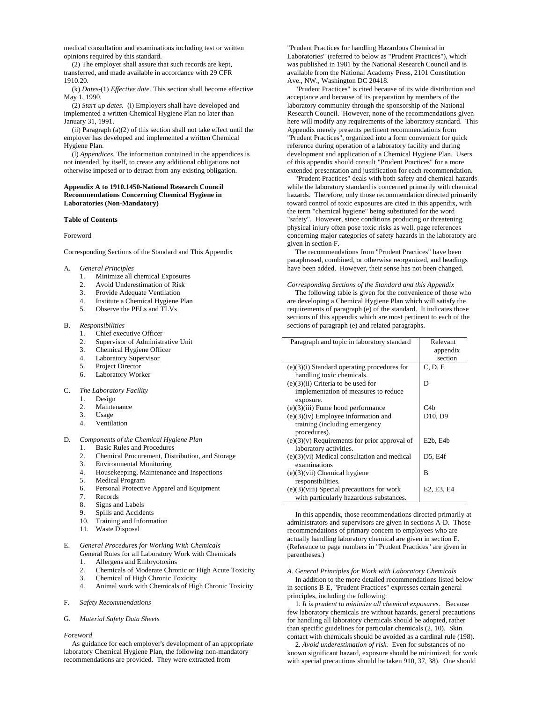medical consultation and examinations including test or written opinions required by this standard.

(2) The employer shall assure that such records are kept, transferred, and made available in accordance with 29 CFR 1910.20.

(k) *Dates*-(1) *Effective date.* This section shall become effective May 1, 1990.

(2) *Start-up dates.* (i) Employers shall have developed and implemented a written Chemical Hygiene Plan no later than January 31, 1991.

(ii) Paragraph (a)(2) of this section shall not take effect until the employer has developed and implemented a written Chemical Hygiene Plan.

(l) *Appendices.* The information contained in the appendices is not intended, by itself, to create any additional obligations not otherwise imposed or to detract from any existing obligation.

## **Appendix A to 1910.1450-National Research Council Recommendations Concerning Chemical Hygiene in Laboratories (Non-Mandatory)**

## **Table of Contents**

Foreword

Corresponding Sections of the Standard and This Appendix

## A. *General Principles*

- 1. Minimize all chemical Exposures
- 2. Avoid Underestimation of Risk
- 3. Provide Adequate Ventilation
- 4. Institute a Chemical Hygiene Plan
- 5. Observe the PELs and TLVs

# B. *Responsibilities*

- 1. Chief executive Officer
- 2. Supervisor of Administrative Unit
- 3. Chemical Hygiene Officer
- 4. Laboratory Supervisor
- 5. Project Director
- 6. Laboratory Worker
- C. *The Laboratory Facility*
	- 1. Design
	- 2. Maintenance<br>3 Usage
	- 3. Usage
	- 4. Ventilation

D. *Components of the Chemical Hygiene Plan*

- 1. Basic Rules and Procedures
	- 2. Chemical Procurement, Distribution, and Storage
	- 3. Environmental Monitoring
	- 4. Housekeeping, Maintenance and Inspections
	- 5. Medical Program
	- 6. Personal Protective Apparel and Equipment
	- 7. Records
	- 8. Signs and Labels
	- 9. Spills and Accidents
	- 10. Training and Information
	- 11. Waste Disposal
- E. *General Procedures for Working With Chemicals* General Rules for all Laboratory Work with Chemicals
	- 1. Allergens and Embryotoxins
	- 2. Chemicals of Moderate Chronic or High Acute Toxicity
	- 3. Chemical of High Chronic Toxicity
	- 4. Animal work with Chemicals of High Chronic Toxicity
- F. *Safety Recommendations*

#### G. *Material Safety Data Sheets*

#### *Foreword*

As guidance for each employer's development of an appropriate laboratory Chemical Hygiene Plan, the following non-mandatory recommendations are provided. They were extracted from

"Prudent Practices for handling Hazardous Chemical in Laboratories" (referred to below as "Prudent Practices"), which was published in 1981 by the National Research Council and is available from the National Academy Press, 2101 Constitution Ave., NW., Washington DC 20418.

"Prudent Practices" is cited because of its wide distribution and acceptance and because of its preparation by members of the laboratory community through the sponsorship of the National Research Council. However, none of the recommendations given here will modify any requirements of the laboratory standard. This Appendix merely presents pertinent recommendations from "Prudent Practices", organized into a form convenient for quick reference during operation of a laboratory facility and during development and application of a Chemical Hygiene Plan. Users of this appendix should consult "Prudent Practices" for a more extended presentation and justification for each recommendation.

"Prudent Practices" deals with both safety and chemical hazards while the laboratory standard is concerned primarily with chemical hazards. Therefore, only those recommendation directed primarily toward control of toxic exposures are cited in this appendix, with the term "chemical hygiene" being substituted for the word "safety". However, since conditions producing or threatening physical injury often pose toxic risks as well, page references concerning major categories of safety hazards in the laboratory are given in section F.

The recommendations from "Prudent Practices" have been paraphrased, combined, or otherwise reorganized, and headings have been added. However, their sense has not been changed.

#### *Corresponding Sections of the Standard and this Appendix*

The following table is given for the convenience of those who are developing a Chemical Hygiene Plan which will satisfy the requirements of paragraph (e) of the standard. It indicates those sections of this appendix which are most pertinent to each of the sections of paragraph (e) and related paragraphs.

| Paragraph and topic in laboratory standard     | Relevant                                         |
|------------------------------------------------|--------------------------------------------------|
|                                                | appendix                                         |
|                                                | section                                          |
| $(e)(3)(i)$ Standard operating procedures for  | C, D, E                                          |
| handling toxic chemicals.                      |                                                  |
| $(e)(3)(ii)$ Criteria to be used for           | D                                                |
| implementation of measures to reduce           |                                                  |
| exposure.                                      |                                                  |
| $(e)(3)(iii)$ Fume hood performance            | C4h                                              |
| $(e)(3)(iv)$ Employee information and          | D <sub>10</sub> , D <sub>9</sub>                 |
| training (including emergency                  |                                                  |
| procedures).                                   |                                                  |
| $(e)(3)(v)$ Requirements for prior approval of | E2b. E4b                                         |
| laboratory activities.                         |                                                  |
| $(e)(3)(vi)$ Medical consultation and medical  | D5, E4f                                          |
| examinations                                   |                                                  |
| $(e)(3)(vii)$ Chemical hygiene                 | В                                                |
| responsibilities.                              |                                                  |
| $(e)(3)(viii)$ Special precautions for work    | E <sub>2</sub> , E <sub>3</sub> , E <sub>4</sub> |
| with particularly hazardous substances.        |                                                  |

In this appendix, those recommendations directed primarily at administrators and supervisors are given in sections A-D. Those recommendations of primary concern to employees who are actually handling laboratory chemical are given in section E. (Reference to page numbers in "Prudent Practices" are given in parentheses.)

# *A. General Principles for Work with Laboratory Chemicals* In addition to the more detailed recommendations listed below in sections B-E, "Prudent Practices" expresses certain general principles, including the following:

1. *It is prudent to minimize all chemical exposures.* Because few laboratory chemicals are without hazards, general precautions for handling all laboratory chemicals should be adopted, rather than specific guidelines for particular chemicals (2, 10). Skin contact with chemicals should be avoided as a cardinal rule (198).

2. *Avoid underestimation of risk.* Even for substances of no known significant hazard, exposure should be minimized; for work with special precautions should be taken 910, 37, 38). One should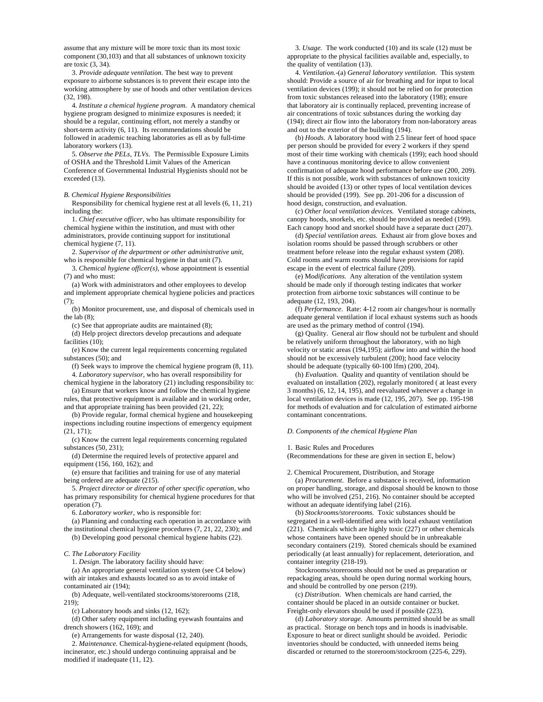assume that any mixture will be more toxic than its most toxic component (30,103) and that all substances of unknown toxicity are toxic (3, 34).

3. *Provide adequate ventilation.* The best way to prevent exposure to airborne substances is to prevent their escape into the working atmosphere by use of hoods and other ventilation devices  $(32, 198)$ 

4. *Institute a chemical hygiene program.* A mandatory chemical hygiene program designed to minimize exposures is needed; it should be a regular, continuing effort, not merely a standby or short-term activity (6, 11). Its recommendations should be followed in academic teaching laboratories as ell as by full-time laboratory workers (13).

5. *Observe the PELs, TLVs*. The Permissible Exposure Limits of OSHA and the Threshold Limit Values of the American Conference of Governmental Industrial Hygienists should not be exceeded (13).

### *B. Chemical Hygiene Responsibilities*

Responsibility for chemical hygiene rest at all levels (6, 11, 21) including the:

1. *Chief executive officer,* who has ultimate responsibility for chemical hygiene within the institution, and must with other administrators, provide continuing support for institutional chemical hygiene (7, 11).

2*. Supervisor of the department or other administrative unit*, who is responsible for chemical hygiene in that unit (7).

3. *Chemical hygiene officer(s),* whose appointment is essential (7) and who must:

(a) Work with administrators and other employees to develop and implement appropriate chemical hygiene policies and practices (7);

(b) Monitor procurement, use, and disposal of chemicals used in the lab (8);

(c) See that appropriate audits are maintained (8);

(d) Help project directors develop precautions and adequate facilities (10):

(e) Know the current legal requirements concerning regulated substances (50); and

(f) Seek ways to improve the chemical hygiene program (8, 11). 4. *Laboratory supervisor,* who has overall responsibility for

chemical hygiene in the laboratory (21) including responsibility to: (a) Ensure that workers know and follow the chemical hygiene

rules, that protective equipment is available and in working order, and that appropriate training has been provided (21, 22);

(b) Provide regular, formal chemical hygiene and housekeeping inspections including routine inspections of emergency equipment (21, 171);

(c) Know the current legal requirements concerning regulated substances (50, 231);

(d) Determine the required levels of protective apparel and equipment (156, 160, 162); and

(e) ensure that facilities and training for use of any material being ordered are adequate (215).

5. *Project director or director of other specific operation,* who has primary responsibility for chemical hygiene procedures for that operation (7).

6. *Laboratory worker,* who is responsible for:

(a) Planning and conducting each operation in accordance with the institutional chemical hygiene procedures (7, 21, 22, 230); and

(b) Developing good personal chemical hygiene habits (22).

## *C. The Laboratory Facility*

1. *Design*. The laboratory facility should have:

(a) An appropriate general ventilation system (see C4 below) with air intakes and exhausts located so as to avoid intake of contaminated air (194);

(b) Adequate, well-ventilated stockrooms/storerooms (218, 219);

(c) Laboratory hoods and sinks (12, 162);

(d) Other safety equipment including eyewash fountains and drench showers (162, 169); and

(e) Arrangements for waste disposal (12, 240).

2. *Maintenance.* Chemical-hygiene-related equipment (hoods, incinerator, etc.) should undergo continuing appraisal and be modified if inadequate (11, 12).

3. *Usage.* The work conducted (10) and its scale (12) must be appropriate to the physical facilities available and, especially, to the quality of ventilation (13).

4. *Ventilation.*-(a) *General laboratory ventilation.* This system should: Provide a source of air for breathing and for input to local ventilation devices (199); it should not be relied on for protection from toxic substances released into the laboratory (198); ensure that laboratory air is continually replaced, preventing increase of air concentrations of toxic substances during the working day (194); direct air flow into the laboratory from non-laboratory areas and out to the exterior of the building (194).

(b) *Hoods.* A laboratory hood with 2.5 linear feet of hood space per person should be provided for every 2 workers if they spend most of their time working with chemicals (199); each hood should have a continuous monitoring device to allow convenient confirmation of adequate hood performance before use (200, 209). If this is not possible, work with substances of unknown toxicity should be avoided (13) or other types of local ventilation devices should be provided (199). See pp. 201-206 for a discussion of hood design, construction, and evaluation.

(c) *Other local ventilation devices.* Ventilated storage cabinets, canopy hoods, snorkels, etc. should be provided as needed (199). Each canopy hood and snorkel should have a separate duct (207).

(d) *Special ventilation areas.* Exhaust air from glove boxes and isolation rooms should be passed through scrubbers or other treatment before release into the regular exhaust system (208). Cold rooms and warm rooms should have provisions for rapid escape in the event of electrical failure (209).

(e) M*odifications.* Any alteration of the ventilation system should be made only if thorough testing indicates that worker protection from airborne toxic substances will continue to be adequate (12, 193, 204).

(f) *Performance*. Rate: 4-12 room air changes/hour is normally adequate general ventilation if local exhaust systems such as hoods are used as the primary method of control (194).

(g) Quality. General air flow should not be turbulent and should be relatively uniform throughout the laboratory, with no high velocity or static areas (194,195); airflow into and within the hood should not be excessively turbulent (200); hood face velocity should be adequate (typically 60-100 lfm) (200, 204).

(h) *Evaluation.* Quality and quantity of ventilation should be evaluated on installation (202), regularly monitored ( at least every 3 months) (6, 12, 14, 195), and reevaluated whenever a change in local ventilation devices is made (12, 195, 207). See pp. 195-198 for methods of evaluation and for calculation of estimated airborne contaminant concentrations.

### *D. Components of the chemical Hygiene Plan*

#### 1. Basic Rules and Procedures

(Recommendations for these are given in section E, below)

## 2. Chemical Procurement, Distribution, and Storage

(a) *Procurement*. Before a substance is received, information on proper handling, storage, and disposal should be known to those who will be involved (251, 216). No container should be accepted without an adequate identifying label (216).

(b) *Stockrooms/storerooms.* Toxic substances should be segregated in a well-identified area with local exhaust ventilation (221). Chemicals which are highly toxic (227) or other chemicals whose containers have been opened should be in unbreakable secondary containers (219). Stored chemicals should be examined periodically (at least annually) for replacement, deterioration, and container integrity (218-19).

Stockrooms/storerooms should not be used as preparation or repackaging areas, should be open during normal working hours, and should be controlled by one person (219).

(c) *Distribution.* When chemicals are hand carried, the container should be placed in an outside container or bucket. Freight-only elevators should be used if possible (223).

(d) *Laboratory storage.* Amounts permitted should be as small as practical. Storage on bench tops and in hoods is inadvisable. Exposure to heat or direct sunlight should be avoided. Periodic inventories should be conducted, with unneeded items being discarded or returned to the storeroom/stockroom (225-6, 229).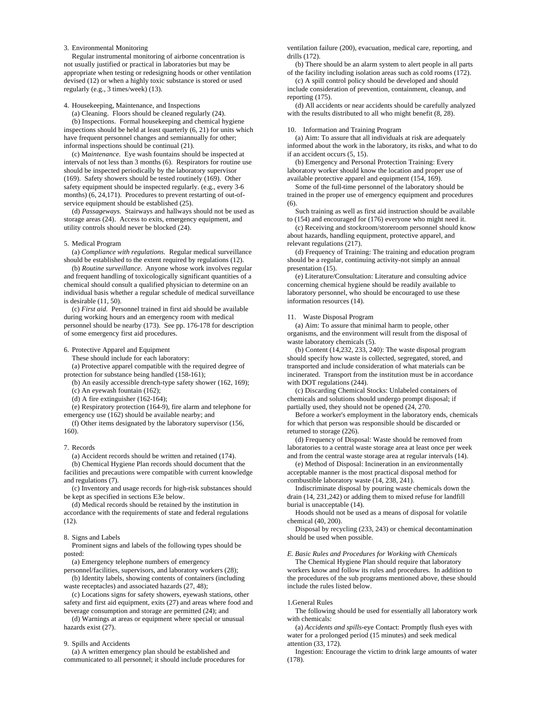## 3. Environmental Monitoring

Regular instrumental monitoring of airborne concentration is not usually justified or practical in laboratories but may be appropriate when testing or redesigning hoods or other ventilation devised (12) or when a highly toxic substance is stored or used regularly (e.g., 3 times/week) (13).

4. Housekeeping, Maintenance, and Inspections

(a) Cleaning. Floors should be cleaned regularly (24). (b) Inspections. Formal housekeeping and chemical hygiene inspections should be held at least quarterly (6, 21) for units which have frequent personnel changes and semiannually for other; informal inspections should be continual (21).

(c) M*aintenance.* Eye wash fountains should be inspected at intervals of not less than 3 months (6). Respirators for routine use should be inspected periodically by the laboratory supervisor (169). Safety showers should be tested routinely (169). Other safety equipment should be inspected regularly. (e.g., every 3-6 months) (6, 24,171). Procedures to prevent restarting of out-ofservice equipment should be established (25).

(d) *Passageways.* Stairways and hallways should not be used as storage areas (24). Access to exits, emergency equipment, and utility controls should never be blocked (24).

## 5. Medical Program

(a) *Compliance with regulations.* Regular medical surveillance should be established to the extent required by regulations (12).

(b) *Routine surveillance.* Anyone whose work involves regular and frequent handling of toxicologically significant quantities of a chemical should consult a qualified physician to determine on an individual basis whether a regular schedule of medical surveillance is desirable (11, 50).

(c) *First aid.* Personnel trained in first aid should be available during working hours and an emergency room with medical personnel should be nearby (173). See pp. 176-178 for description of some emergency first aid procedures.

## 6. Protective Apparel and Equipment

These should include for each laboratory: (a) Protective apparel compatible with the required degree of

protection for substance being handled (158-161);

(b) An easily accessible drench-type safety shower (162, 169); (c) An eyewash fountain (162);

(d) A fire extinguisher (162-164);

(e) Respiratory protection (164-9), fire alarm and telephone for

emergency use (162) should be available nearby; and

(f) Other items designated by the laboratory supervisor (156, 160).

#### 7. Records

(a) Accident records should be written and retained (174).

(b) Chemical Hygiene Plan records should document that the facilities and precautions were compatible with current knowledge and regulations (7).

(c) Inventory and usage records for high-risk substances should be kept as specified in sections E3e below.

(d) Medical records should be retained by the institution in accordance with the requirements of state and federal regulations (12).

#### 8. Signs and Labels

Prominent signs and labels of the following types should be posted:

(a) Emergency telephone numbers of emergency

personnel/facilities, supervisors, and laboratory workers (28); (b) Identity labels, showing contents of containers (including waste receptacles) and associated hazards (27, 48);

(c) Locations signs for safety showers, eyewash stations, other safety and first aid equipment, exits (27) and areas where food and beverage consumption and storage are permitted (24); and

(d) Warnings at areas or equipment where special or unusual hazards exist (27).

# 9. Spills and Accidents

(a) A written emergency plan should be established and communicated to all personnel; it should include procedures for ventilation failure (200), evacuation, medical care, reporting, and drills (172).

(b) There should be an alarm system to alert people in all parts of the facility including isolation areas such as cold rooms (172).

(c) A spill control policy should be developed and should include consideration of prevention, containment, cleanup, and reporting (175).

(d) All accidents or near accidents should be carefully analyzed with the results distributed to all who might benefit (8, 28).

## 10. Information and Training Program

(a) Aim: To assure that all individuals at risk are adequately informed about the work in the laboratory, its risks, and what to do if an accident occurs (5, 15).

(b) Emergency and Personal Protection Training: Every laboratory worker should know the location and proper use of available protective apparel and equipment (154, 169).

Some of the full-time personnel of the laboratory should be trained in the proper use of emergency equipment and procedures (6).

Such training as well as first aid instruction should be available to (154) and encouraged for (176) everyone who might need it.

(c) Receiving and stockroom/storeroom personnel should know about hazards, handling equipment, protective apparel, and relevant regulations (217).

(d) Frequency of Training: The training and education program should be a regular, continuing activity-not simply an annual presentation (15).

(e) Literature/Consultation: Literature and consulting advice concerning chemical hygiene should be readily available to laboratory personnel, who should be encouraged to use these information resources (14).

#### 11. Waste Disposal Program

(a) Aim: To assure that minimal harm to people, other organisms, and the environment will result from the disposal of waste laboratory chemicals (5).

(b) Content (14,232, 233, 240): The waste disposal program should specify how waste is collected, segregated, stored, and transported and include consideration of what materials can be incinerated. Transport from the institution must be in accordance with DOT regulations (244).

(c) Discarding Chemical Stocks: Unlabeled containers of chemicals and solutions should undergo prompt disposal; if partially used, they should not be opened (24, 270.

Before a worker's employment in the laboratory ends, chemicals for which that person was responsible should be discarded or returned to storage (226).

(d) Frequency of Disposal: Waste should be removed from laboratories to a central waste storage area at least once per week and from the central waste storage area at regular intervals (14).

(e) Method of Disposal: Incineration in an environmentally acceptable manner is the most practical disposal method for combustible laboratory waste (14, 238, 241).

Indiscriminate disposal by pouring waste chemicals down the drain (14, 231,242) or adding them to mixed refuse for landfill burial is unacceptable (14).

Hoods should not be used as a means of disposal for volatile chemical (40, 200).

Disposal by recycling (233, 243) or chemical decontamination should be used when possible.

### *E. Basic Rules and Procedures for Working with Chemicals*

The Chemical Hygiene Plan should require that laboratory workers know and follow its rules and procedures. In addition to the procedures of the sub programs mentioned above, these should include the rules listed below.

#### 1.General Rules

The following should be used for essentially all laboratory work with chemicals:

(a) *Accidents and spills*-eye Contact: Promptly flush eyes with water for a prolonged period (15 minutes) and seek medical attention (33, 172).

Ingestion: Encourage the victim to drink large amounts of water (178).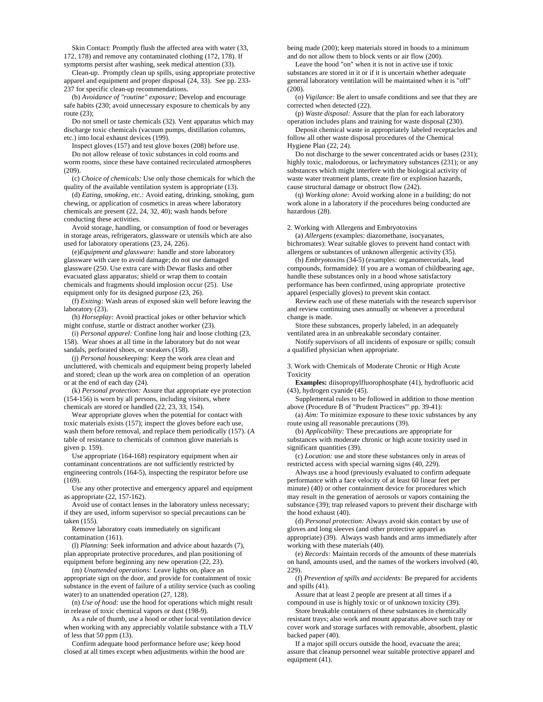Skin Contact: Promptly flush the affected area with water (33, 172, 178) and remove any contaminated clothing (172, 178). If symptoms persist after washing, seek medical attention (33).

Clean-up. Promptly clean up spills, using appropriate protective apparel and equipment and proper disposal (24, 33). See pp. 233- 237 for specific clean-up recommendations.

(b) *Avoidance of "routine" exposure;* Develop and encourage safe habits (230; avoid unnecessary exposure to chemicals by any route (23);

Do not smell or taste chemicals (32). Vent apparatus which may discharge toxic chemicals (vacuum pumps, distillation columns, etc.) into local exhaust devices (199).

Inspect gloves (157) and test glove boxes (208) before use.

Do not allow release of toxic substances in cold rooms and worm rooms, since these have contained recirculated atmospheres (209).

(c) *Choice of chemicals:* Use only those chemicals for which the quality of the available ventilation system is appropriate (13).

(d) *Eating, smoking, etc.:* Avoid eating, drinking, smoking, gum chewing, or application of cosmetics in areas where laboratory chemicals are present (22, 24, 32, 40); wash hands before conducting these activities.

Avoid storage, handling, or consumption of food or beverages in storage areas, refrigerators, glassware or utensils which are also used for laboratory operations (23, 24, 226).

(e)*Equipment and glassware:* handle and store laboratory glassware with care to avoid damage; do not use damaged glassware (250. Use extra care with Dewar flasks and other evacuated glass apparatus; shield or wrap them to contain chemicals and fragments should implosion occur (25). Use equipment only for its designed purpose (23, 26).

(f) *Exiting:* Wash areas of exposed skin well before leaving the laboratory (23).

(h) *Horseplay:* Avoid practical jokes or other behavior which might confuse, startle or distract another worker (23).

(i) *Personal apparel:* Confine long hair and loose clothing (23, 158). Wear shoes at all time in the laboratory but do not wear sandals, perforated shoes, or sneakers (158).

(j) *Personal housekeeping:* Keep the work area clean and uncluttered, with chemicals and equipment being properly labeled and stored; clean up the work area on completion of an operation or at the end of each day (24).

(k) *Personal protection:* Assure that appropriate eye protection (154-156) is worn by all persons, including visitors, where chemicals are stored or handled (22, 23, 33, 154).

Wear appropriate gloves when the potential for contact with toxic materials exists (157); inspect the gloves before each use, wash them before removal, and replace them periodically (157). (A table of resistance to chemicals of common glove materials is given p. 159).

Use appropriate (164-168) respiratory equipment when air contaminant concentrations are not sufficiently restricted by engineering controls (164-5), inspecting the respirator before use (169).

Use any other protective and emergency apparel and equipment as appropriate (22, 157-162).

Avoid use of contact lenses in the laboratory unless necessary; if they are used, inform supervisor so special precautions can be taken (155).

Remove laboratory coats immediately on significant contamination (161).

(l) *Planning:* Seek information and advice about hazards (7), plan appropriate protective procedures, and plan positioning of equipment before beginning any new operation (22, 23).

(m) *Unattended operations:* Leave lights on, place an appropriate sign on the door, and provide for containment of toxic substance in the event of failure of a utility service (such as cooling water) to an unattended operation (27, 128).

(n) *Use of hood:* use the hood for operations which might result in release of toxic chemical vapors or dust (198-9).

As a rule of thumb, use a hood or other local ventilation device when working with any appreciably volatile substance with a TLV of less that 50 ppm (13).

Confirm adequate hood performance before use; keep hood closed at all times except when adjustments within the hood are being made (200); keep materials stored in hoods to a minimum and do not allow them to block vents or air flow (200).

Leave the hood "on" when it is not in active use if toxic substances are stored in it or if it is uncertain whether adequate general laboratory ventilation will be maintained when it is "off" (200).

(o) *Vigilance:* Be alert to unsafe conditions and see that they are corrected when detected (22).

(p) *Waste disposal:* Assure that the plan for each laboratory operation includes plans and training for waste disposal (230).

Deposit chemical waste in appropriately labeled receptacles and follow all other waste disposal procedures of the Chemical Hygiene Plan (22, 24).

Do not discharge to the sewer concentrated acids or bases (231); highly toxic, malodorous, or lachrymatory substances (231); or any substances which might interfere with the biological activity of waste water treatment plants, create fire or explosion hazards, cause structural damage or obstruct flow (242).

(q) *Working alone:* Avoid working alone in a building; do not work alone in a laboratory if the procedures being conducted are hazardous (28).

2. Working with Allergens and Embryotoxins

(a) *Allergens* (examples: diazomethane, isocyanates, bichromates): Wear suitable gloves to prevent hand contact with allergens or substances of unknown allergenic activity (35).

(b) *Embryotoxins* (34-5) (examples: organomercurials, lead compounds, formamide): If you are a woman of childbearing age, handle these substances only in a hood whose satisfactory performance has been confirmed, using appropriate protective apparel (especially gloves) to prevent skin contact.

Review each use of these materials with the research supervisor and review continuing uses annually or whenever a procedural change is made.

Store these substances, properly labeled, in an adequately ventilated area in an unbreakable secondary container.

Notify supervisors of all incidents of exposure or spills; consult a qualified physician when appropriate.

3. Work with Chemicals of Moderate Chronic or High Acute **Toxicity** 

**Examples:** diisopropylfluorophosphate (41), hydrofluoric acid (43), hydrogen cyanide (45).

Supplemental rules to be followed in addition to those mention above (Procedure B of "Prudent Practices"' pp. 39-41):

(a) *Aim:* To minimize exposure to these toxic substances by any route using all reasonable precautions (39).

(b) *Applicability:* These precautions are appropriate for substances with moderate chronic or high acute toxicity used in significant quantities (39).

(c) *Location:* use and store these substances only in areas of restricted access with special warning signs (40, 229).

Always use a hood (previously evaluated to confirm adequate performance with a face velocity of at least 60 linear feet per minute) (40) or other containment device for procedures which may result in the generation of aerosols or vapors containing the substance (39); trap released vapors to prevent their discharge with the hood exhaust (40).

(d) *Personal protection:* Always avoid skin contact by use of gloves and long sleeves (and other protective apparel as appropriate) (39). Always wash hands and arms immediately after working with these materials (40).

(e) *Records:* Maintain records of the amounts of these materials on hand, amounts used, and the names of the workers involved (40, 229).

(f) *Prevention of spills and accidents:* Be prepared for accidents and spills (41).

Assure that at least 2 people are present at all times if a compound in use is highly toxic or of unknown toxicity (39).

Store breakable containers of these substances in chemically resistant trays; also work and mount apparatus above such tray or cover work and storage surfaces with removable, absorbent, plastic backed paper (40).

If a major spill occurs outside the hood, evacuate the area; assure that cleanup personnel wear suitable protective apparel and equipment (41).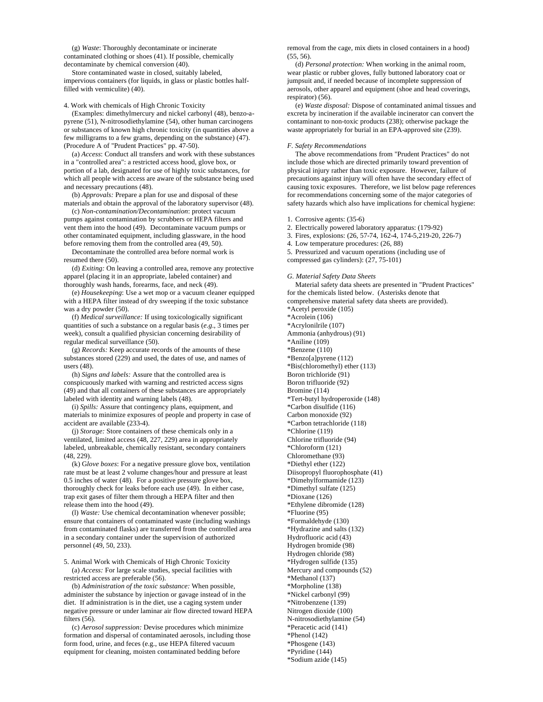(g) *Waste*: Thoroughly decontaminate or incinerate contaminated clothing or shoes (41). If possible, chemically decontaminate by chemical conversion (40).

Store contaminated waste in closed, suitably labeled, impervious containers (for liquids, in glass or plastic bottles halffilled with vermiculite) (40).

4. Work with chemicals of High Chronic Toxicity

(Examples: dimethylmercury and nickel carbonyl (48), benzo-apyrene (51), N-nitrosodiethylamine (54), other human carcinogens or substances of known high chronic toxicity (in quantities above a few milligrams to a few grams, depending on the substance) (47). (Procedure A of "Prudent Practices" pp. 47-50).

(a) *Access*: Conduct all transfers and work with these substances in a "controlled area": a restricted access hood, glove box, or portion of a lab, designated for use of highly toxic substances, for which all people with access are aware of the substance being used and necessary precautions (48).

(b) *Approvals:* Prepare a plan for use and disposal of these materials and obtain the approval of the laboratory supervisor (48).

(c) *Non-contamination/Decontamination*: protect vacuum pumps against contamination by scrubbers or HEPA filters and vent them into the hood (49). Decontaminate vacuum pumps or other contaminated equipment, including glassware, in the hood before removing them from the controlled area (49, 50).

Decontaminate the controlled area before normal work is resumed there (50).

(d) *Exiting:* On leaving a controlled area, remove any protective apparel (placing it in an appropriate, labeled container) and thoroughly wash hands, forearms, face, and neck (49).

(e) *Housekeeping*: Use a wet mop or a vacuum cleaner equipped with a HEPA filter instead of dry sweeping if the toxic substance was a dry powder (50).

(f) *Medical surveillance:* If using toxicologically significant quantities of such a substance on a regular basis (*e.g*., 3 times per week), consult a qualified physician concerning desirability of regular medical surveillance (50).

(g) *Records:* Keep accurate records of the amounts of these substances stored (229) and used, the dates of use, and names of users (48).

(h) *Signs and labels:* Assure that the controlled area is conspicuously marked with warning and restricted access signs (49) and that all containers of these substances are appropriately labeled with identity and warning labels (48).

(i) *Spills:* Assure that contingency plans, equipment, and materials to minimize exposures of people and property in case of accident are available (233-4).

(j) *Storage:* Store containers of these chemicals only in a ventilated, limited access (48, 227, 229) area in appropriately labeled, unbreakable, chemically resistant, secondary containers (48, 229).

(k) G*love boxes*: For a negative pressure glove box, ventilation rate must be at least 2 volume changes/hour and pressure at least 0.5 inches of water (48). For a positive pressure glove box, thoroughly check for leaks before each use (49). In either case, trap exit gases of filter them through a HEPA filter and then release them into the hood (49).

(l) *Waste:* Use chemical decontamination whenever possible; ensure that containers of contaminated waste (including washings from contaminated flasks) are transferred from the controlled area in a secondary container under the supervision of authorized personnel (49, 50, 233).

5. Animal Work with Chemicals of High Chronic Toxicity (a) *Access:* For large scale studies, special facilities with restricted access are preferable (56).

(b) *Administration of the toxic substance:* When possible, administer the substance by injection or gavage instead of in the diet. If administration is in the diet, use a caging system under negative pressure or under laminar air flow directed toward HEPA filters (56).

(c) *Aerosol suppression:* Devise procedures which minimize formation and dispersal of contaminated aerosols, including those form food, urine, and feces (e.g., use HEPA filtered vacuum equipment for cleaning, moisten contaminated bedding before

removal from the cage, mix diets in closed containers in a hood) (55, 56).

(d) *Personal protection:* When working in the animal room, wear plastic or rubber gloves, fully buttoned laboratory coat or jumpsuit and, if needed because of incomplete suppression of aerosols, other apparel and equipment (shoe and head coverings, respirator) (56).

(e) *Waste disposal:* Dispose of contaminated animal tissues and excreta by incineration if the available incinerator can convert the contaminant to non-toxic products (238); otherwise package the waste appropriately for burial in an EPA-approved site (239).

#### *F. Safety Recommendations*

The above recommendations from "Prudent Practices" do not include those which are directed primarily toward prevention of physical injury rather than toxic exposure. However, failure of precautions against injury will often have the secondary effect of causing toxic exposures. Therefore, we list below page references for recommendations concerning some of the major categories of safety hazards which also have implications for chemical hygiene:

1. Corrosive agents: (35-6)

2. Electrically powered laboratory apparatus: (179-92)

3. Fires, explosions: (26, 57-74, 162-4, 174-5,219-20, 226-7)

4. Low temperature procedures: (26, 88)

- 5. Pressurized and vacuum operations (including use of
- compressed gas cylinders): (27, 75-101)

## *G. Material Safety Data Sheets*

Material safety data sheets are presented in "Prudent Practices" for the chemicals listed below. (Asterisks denote that comprehensive material safety data sheets are provided). \*Acetyl peroxide (105) \*Acrolein (106) \*Acrylonilrile (107) Ammonia (anhydrous) (91) \*Aniline (109) \*Benzene (110) \*Benzo[a]pyrene (112) \*Bis(chloromethyl) ether (113) Boron trichloride (91) Boron trifluoride (92) Bromine (114) \*Tert-butyl hydroperoxide (148) \*Carbon disulfide (116) Carbon monoxide (92) \*Carbon tetrachloride (118) \*Chlorine (119) Chlorine trifluoride (94) \*Chloroform (121) Chloromethane (93) \*Diethyl ether (122) Diisopropyl fluorophosphate (41) \*Dimehylformamide (123) \*Dimethyl sulfate (125) \*Dioxane (126) \*Ethylene dibromide (128) \*Fluorine (95) \*Formaldehyde (130) \*Hydrazine and salts (132) Hydrofluoric acid (43) Hydrogen bromide (98) Hydrogen chloride (98) \*Hydrogen sulfide (135) Mercury and compounds (52) \*Methanol (137) \*Morpholine (138) \*Nickel carbonyl (99) \*Nitrobenzene (139) Nitrogen dioxide (100) N-nitrosodiethylamine (54) \*Peracetic acid (141) \*Phenol (142) \*Phosgene (143) \*Pyridine (144)

\*Sodium azide (145)